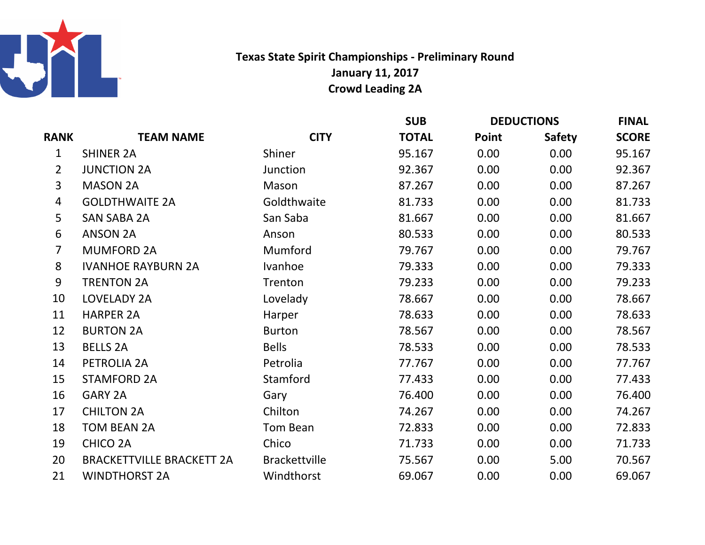

Texas State Spirit Championships - Preliminary RoundJanuary 11, 2017Crowd Leading 2A

|                |                                  |                      | <b>SUB</b>   | <b>DEDUCTIONS</b> |               | <b>FINAL</b> |
|----------------|----------------------------------|----------------------|--------------|-------------------|---------------|--------------|
| <b>RANK</b>    | <b>TEAM NAME</b>                 | <b>CITY</b>          | <b>TOTAL</b> | Point             | <b>Safety</b> | <b>SCORE</b> |
| 1              | <b>SHINER 2A</b>                 | Shiner               | 95.167       | 0.00              | 0.00          | 95.167       |
| $\overline{2}$ | <b>JUNCTION 2A</b>               | Junction             | 92.367       | 0.00              | 0.00          | 92.367       |
| 3              | <b>MASON 2A</b>                  | Mason                | 87.267       | 0.00              | 0.00          | 87.267       |
| $\overline{4}$ | <b>GOLDTHWAITE 2A</b>            | Goldthwaite          | 81.733       | 0.00              | 0.00          | 81.733       |
| 5              | <b>SAN SABA 2A</b>               | San Saba             | 81.667       | 0.00              | 0.00          | 81.667       |
| 6              | <b>ANSON 2A</b>                  | Anson                | 80.533       | 0.00              | 0.00          | 80.533       |
| $\overline{7}$ | <b>MUMFORD 2A</b>                | Mumford              | 79.767       | 0.00              | 0.00          | 79.767       |
| 8              | <b>IVANHOE RAYBURN 2A</b>        | Ivanhoe              | 79.333       | 0.00              | 0.00          | 79.333       |
| 9              | <b>TRENTON 2A</b>                | Trenton              | 79.233       | 0.00              | 0.00          | 79.233       |
| 10             | <b>LOVELADY 2A</b>               | Lovelady             | 78.667       | 0.00              | 0.00          | 78.667       |
| 11             | <b>HARPER 2A</b>                 | Harper               | 78.633       | 0.00              | 0.00          | 78.633       |
| 12             | <b>BURTON 2A</b>                 | <b>Burton</b>        | 78.567       | 0.00              | 0.00          | 78.567       |
| 13             | <b>BELLS 2A</b>                  | <b>Bells</b>         | 78.533       | 0.00              | 0.00          | 78.533       |
| 14             | PETROLIA 2A                      | Petrolia             | 77.767       | 0.00              | 0.00          | 77.767       |
| 15             | <b>STAMFORD 2A</b>               | Stamford             | 77.433       | 0.00              | 0.00          | 77.433       |
| 16             | GARY 2A                          | Gary                 | 76.400       | 0.00              | 0.00          | 76.400       |
| 17             | <b>CHILTON 2A</b>                | Chilton              | 74.267       | 0.00              | 0.00          | 74.267       |
| 18             | <b>TOM BEAN 2A</b>               | Tom Bean             | 72.833       | 0.00              | 0.00          | 72.833       |
| 19             | <b>CHICO 2A</b>                  | Chico                | 71.733       | 0.00              | 0.00          | 71.733       |
| 20             | <b>BRACKETTVILLE BRACKETT 2A</b> | <b>Brackettville</b> | 75.567       | 0.00              | 5.00          | 70.567       |
| 21             | <b>WINDTHORST 2A</b>             | Windthorst           | 69.067       | 0.00              | 0.00          | 69.067       |
|                |                                  |                      |              |                   |               |              |